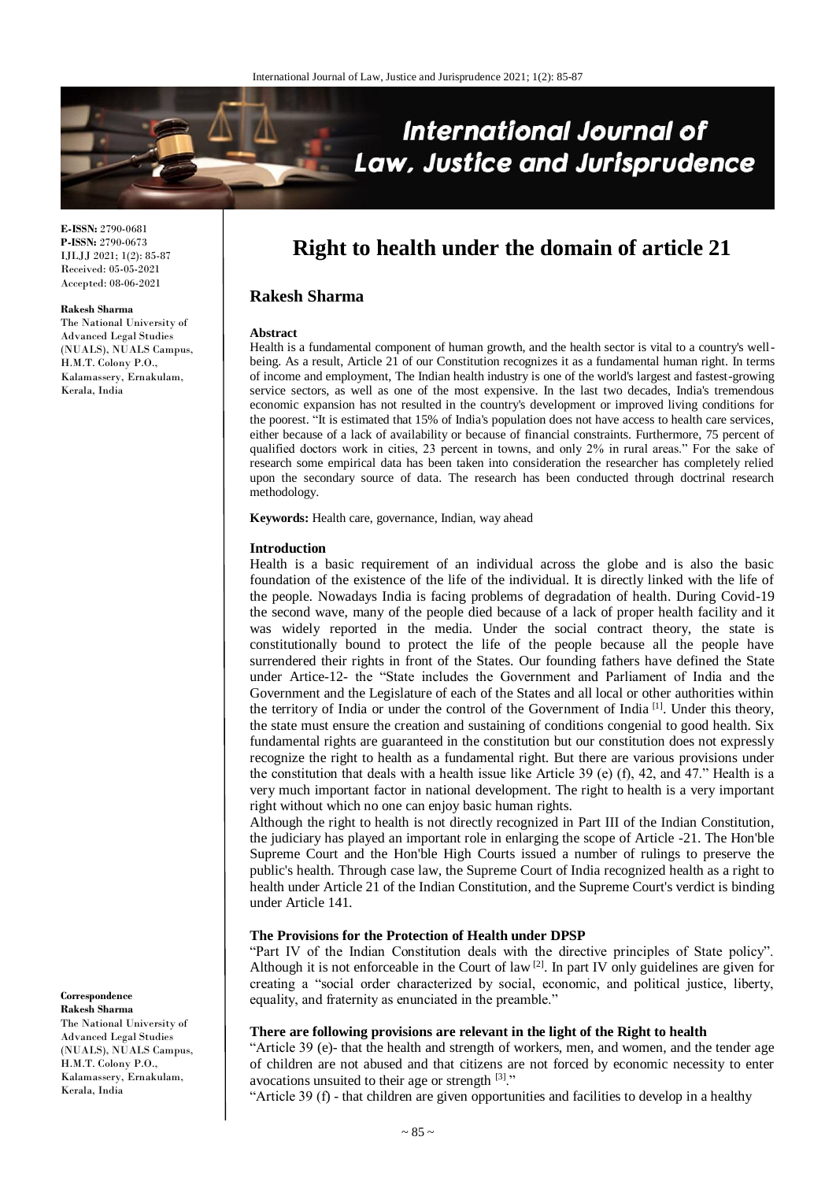

**E-ISSN:** 2790-0681 **P-ISSN:** 2790-0673 IJLJJ 2021; 1(2): 85-87 Received: 05-05-2021 Accepted: 08-06-2021

#### **Rakesh Sharma**

The National University of Advanced Legal Studies (NUALS), NUALS Campus, H.M.T. Colony P.O., Kalamassery, Ernakulam, Kerala, India

# **Right to health under the domain of article 21**

# **Rakesh Sharma**

#### **Abstract**

Health is a fundamental component of human growth, and the health sector is vital to a country's wellbeing. As a result, Article 21 of our Constitution recognizes it as a fundamental human right. In terms of income and employment, The Indian health industry is one of the world's largest and fastest-growing service sectors, as well as one of the most expensive. In the last two decades, India's tremendous economic expansion has not resulted in the country's development or improved living conditions for the poorest. "It is estimated that 15% of India's population does not have access to health care services, either because of a lack of availability or because of financial constraints. Furthermore, 75 percent of qualified doctors work in cities, 23 percent in towns, and only 2% in rural areas." For the sake of research some empirical data has been taken into consideration the researcher has completely relied upon the secondary source of data. The research has been conducted through doctrinal research methodology.

**Keywords:** Health care, governance, Indian, way ahead

### **Introduction**

Health is a basic requirement of an individual across the globe and is also the basic foundation of the existence of the life of the individual. It is directly linked with the life of the people. Nowadays India is facing problems of degradation of health. During Covid-19 the second wave, many of the people died because of a lack of proper health facility and it was widely reported in the media. Under the social contract theory, the state is constitutionally bound to protect the life of the people because all the people have surrendered their rights in front of the States. Our founding fathers have defined the State under Artice-12- the "State includes the Government and Parliament of India and the Government and the Legislature of each of the States and all local or other authorities within the territory of India or under the control of the Government of India [1]. Under this theory, the state must ensure the creation and sustaining of conditions congenial to good health. Six fundamental rights are guaranteed in the constitution but our constitution does not expressly recognize the right to health as a fundamental right. But there are various provisions under the constitution that deals with a health issue like Article 39 (e) (f), 42, and 47." Health is a very much important factor in national development. The right to health is a very important right without which no one can enjoy basic human rights.

Although the right to health is not directly recognized in Part III of the Indian Constitution, the judiciary has played an important role in enlarging the scope of Article -21. The Hon'ble Supreme Court and the Hon'ble High Courts issued a number of rulings to preserve the public's health. Through case law, the Supreme Court of India recognized health as a right to health under Article 21 of the Indian Constitution, and the Supreme Court's verdict is binding under Article 141.

## **The Provisions for the Protection of Health under DPSP**

"Part IV of the Indian Constitution deals with the directive principles of State policy". Although it is not enforceable in the Court of law  $[2]$ . In part IV only guidelines are given for creating a "social order characterized by social, economic, and political justice, liberty, equality, and fraternity as enunciated in the preamble."

## **There are following provisions are relevant in the light of the Right to health**

"Article 39 (e)- that the health and strength of workers, men, and women, and the tender age of children are not abused and that citizens are not forced by economic necessity to enter avocations unsuited to their age or strength [3]."

"Article 39 (f) - that children are given opportunities and facilities to develop in a healthy

# **Correspondence**

**Rakesh Sharma**  The National University of Advanced Legal Studies (NUALS), NUALS Campus, H.M.T. Colony P.O., Kalamassery, Ernakulam, Kerala, India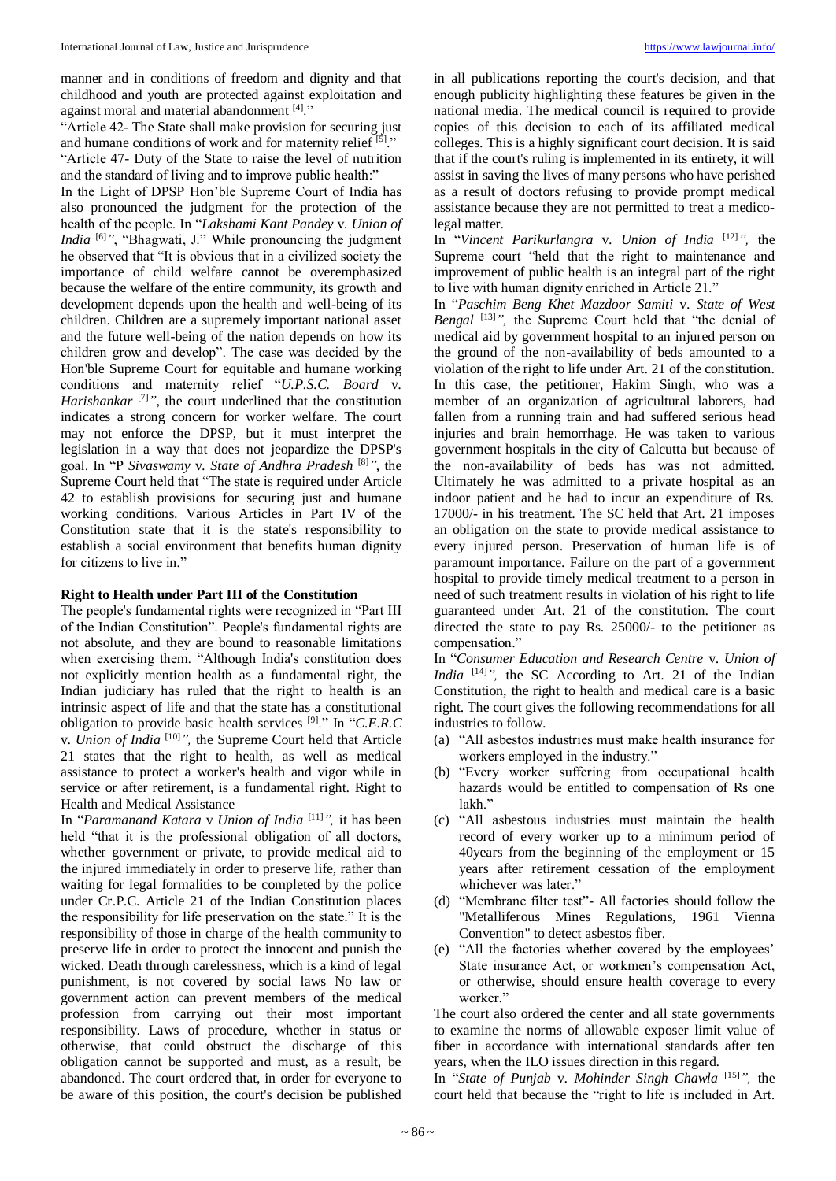manner and in conditions of freedom and dignity and that childhood and youth are protected against exploitation and against moral and material abandonment [4]."

"Article 42- The State shall make provision for securing just and humane conditions of work and for maternity relief [5]." "Article 47- Duty of the State to raise the level of nutrition and the standard of living and to improve public health:"

In the Light of DPSP Hon'ble Supreme Court of India has also pronounced the judgment for the protection of the health of the people. In "*Lakshami Kant Pandey* v*. Union of India* <sup>[6]</sup>", "Bhagwati, J." While pronouncing the judgment he observed that "It is obvious that in a civilized society the importance of child welfare cannot be overemphasized because the welfare of the entire community, its growth and development depends upon the health and well-being of its children. Children are a supremely important national asset and the future well-being of the nation depends on how its children grow and develop". The case was decided by the Hon'ble Supreme Court for equitable and humane working conditions and maternity relief "*U.P.S.C. Board* v*. Harishankar* <sup>[7]</sup>", the court underlined that the constitution indicates a strong concern for worker welfare. The court may not enforce the DPSP, but it must interpret the legislation in a way that does not jeopardize the DPSP's goal. In "P *Sivaswamy* v*. State of Andhra Pradesh* [8]*"*, the Supreme Court held that "The state is required under Article 42 to establish provisions for securing just and humane working conditions. Various Articles in Part IV of the Constitution state that it is the state's responsibility to establish a social environment that benefits human dignity for citizens to live in."

# **Right to Health under Part III of the Constitution**

The people's fundamental rights were recognized in "Part III of the Indian Constitution". People's fundamental rights are not absolute, and they are bound to reasonable limitations when exercising them. "Although India's constitution does not explicitly mention health as a fundamental right, the Indian judiciary has ruled that the right to health is an intrinsic aspect of life and that the state has a constitutional obligation to provide basic health services [9] ." In "*C.E.R.C*  v. *Union of India* [10]*",* the Supreme Court held that Article 21 states that the right to health, as well as medical assistance to protect a worker's health and vigor while in service or after retirement, is a fundamental right. Right to Health and Medical Assistance

In "*Paramanand Katara* v *Union of India* [11]*",* it has been held "that it is the professional obligation of all doctors, whether government or private, to provide medical aid to the injured immediately in order to preserve life, rather than waiting for legal formalities to be completed by the police under Cr.P.C. Article 21 of the Indian Constitution places the responsibility for life preservation on the state." It is the responsibility of those in charge of the health community to preserve life in order to protect the innocent and punish the wicked. Death through carelessness, which is a kind of legal punishment, is not covered by social laws No law or government action can prevent members of the medical profession from carrying out their most important responsibility. Laws of procedure, whether in status or otherwise, that could obstruct the discharge of this obligation cannot be supported and must, as a result, be abandoned. The court ordered that, in order for everyone to be aware of this position, the court's decision be published

in all publications reporting the court's decision, and that enough publicity highlighting these features be given in the national media. The medical council is required to provide copies of this decision to each of its affiliated medical colleges. This is a highly significant court decision. It is said that if the court's ruling is implemented in its entirety, it will assist in saving the lives of many persons who have perished as a result of doctors refusing to provide prompt medical assistance because they are not permitted to treat a medicolegal matter.

In "*Vincent Parikurlangra* v. *Union of India* [12]*",* the Supreme court "held that the right to maintenance and improvement of public health is an integral part of the right to live with human dignity enriched in Article 21."

In "*Paschim Beng Khet Mazdoor Samiti* v. *State of West Bengal* [13]", the Supreme Court held that "the denial of medical aid by government hospital to an injured person on the ground of the non-availability of beds amounted to a violation of the right to life under Art. 21 of the constitution. In this case, the petitioner, Hakim Singh, who was a member of an organization of agricultural laborers, had fallen from a running train and had suffered serious head injuries and brain hemorrhage. He was taken to various government hospitals in the city of Calcutta but because of the non-availability of beds has was not admitted. Ultimately he was admitted to a private hospital as an indoor patient and he had to incur an expenditure of Rs. 17000/- in his treatment. The SC held that Art. 21 imposes an obligation on the state to provide medical assistance to every injured person. Preservation of human life is of paramount importance. Failure on the part of a government hospital to provide timely medical treatment to a person in need of such treatment results in violation of his right to life guaranteed under Art. 21 of the constitution. The court directed the state to pay Rs. 25000/- to the petitioner as compensation."

In "*Consumer Education and Research Centre* v. *Union of India* <sup>[14]</sup>", the SC According to Art. 21 of the Indian Constitution, the right to health and medical care is a basic right. The court gives the following recommendations for all industries to follow.

- (a) "All asbestos industries must make health insurance for workers employed in the industry."
- (b) "Every worker suffering from occupational health hazards would be entitled to compensation of Rs one lakh."
- (c) "All asbestous industries must maintain the health record of every worker up to a minimum period of 40years from the beginning of the employment or 15 years after retirement cessation of the employment whichever was later."
- (d) "Membrane filter test"- All factories should follow the "Metalliferous Mines Regulations, 1961 Vienna Convention" to detect asbestos fiber.
- (e) "All the factories whether covered by the employees' State insurance Act, or workmen's compensation Act, or otherwise, should ensure health coverage to every worker."

The court also ordered the center and all state governments to examine the norms of allowable exposer limit value of fiber in accordance with international standards after ten years, when the ILO issues direction in this regard.

In "*State of Punjab* v. *Mohinder Singh Chawla* [15]*",* the court held that because the "right to life is included in Art.